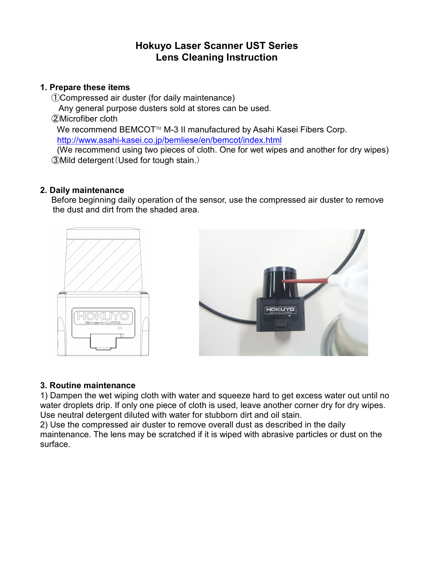# **Hokuyo Laser Scanner UST Series Lens Cleaning Instruction**

### **1. Prepare these items**

 ①Compressed air duster (for daily maintenance) Any general purpose dusters sold at stores can be used. ②Microfiber cloth We recommend BEMCOT™ M-3 II manufactured by Asahi Kasei Fibers Corp. http://www.asahi-kasei.co.jp/bemliese/en/bemcot/index.html

 (We recommend using two pieces of cloth. One for wet wipes and another for dry wipes) ③Mild detergent(Used for tough stain.)

### **2. Daily maintenance**

 Before beginning daily operation of the sensor, use the compressed air duster to remove the dust and dirt from the shaded area.





### **3. Routine maintenance**

1) Dampen the wet wiping cloth with water and squeeze hard to get excess water out until no water droplets drip. If only one piece of cloth is used, leave another corner dry for dry wipes. Use neutral detergent diluted with water for stubborn dirt and oil stain.

2) Use the compressed air duster to remove overall dust as described in the daily maintenance. The lens may be scratched if it is wiped with abrasive particles or dust on the surface.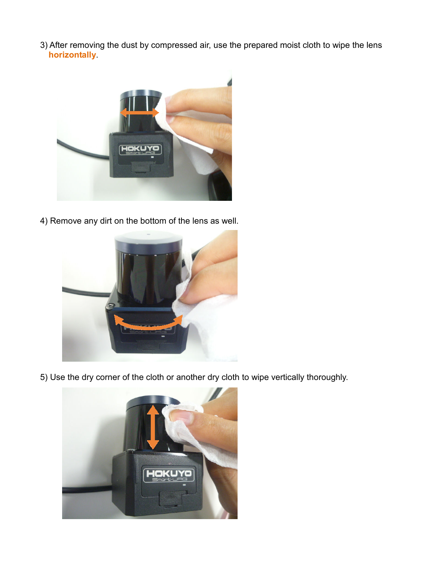3) After removing the dust by compressed air, use the prepared moist cloth to wipe the lens **horizontally**.



4) Remove any dirt on the bottom of the lens as well.



5) Use the dry corner of the cloth or another dry cloth to wipe vertically thoroughly.